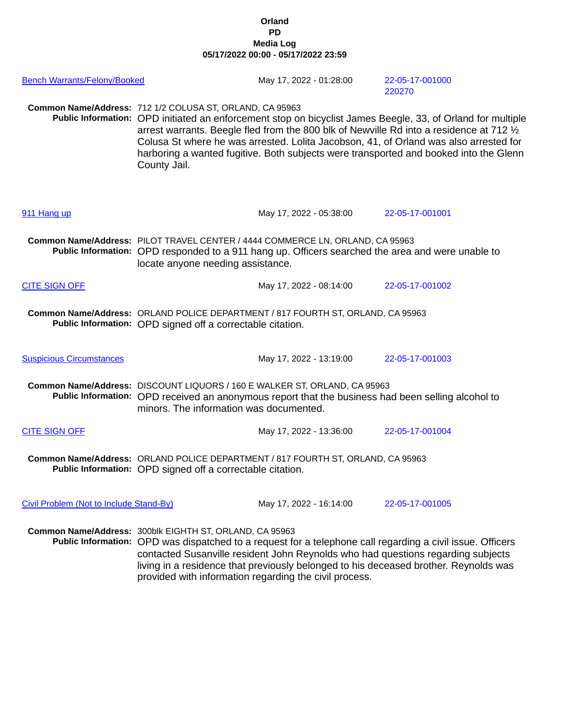## **Orland PD Media Log 05/17/2022 00:00 - 05/17/2022 23:59**

| <b>Bench Warrants/Felony/Booked</b>     |                                                                                                                                                                                                                                                                                                                                                                                                             | May 17, 2022 - 01:28:00 | 22-05-17-001000<br>220270                                                                                                                                                                                                                                                                                                                                                                 |
|-----------------------------------------|-------------------------------------------------------------------------------------------------------------------------------------------------------------------------------------------------------------------------------------------------------------------------------------------------------------------------------------------------------------------------------------------------------------|-------------------------|-------------------------------------------------------------------------------------------------------------------------------------------------------------------------------------------------------------------------------------------------------------------------------------------------------------------------------------------------------------------------------------------|
|                                         | Common Name/Address: 712 1/2 COLUSA ST, ORLAND, CA 95963<br>County Jail.                                                                                                                                                                                                                                                                                                                                    |                         | Public Information: OPD initiated an enforcement stop on bicyclist James Beegle, 33, of Orland for multiple<br>arrest warrants. Beegle fled from the 800 blk of Newville Rd into a residence at 712 1/2<br>Colusa St where he was arrested. Lolita Jacobson, 41, of Orland was also arrested for<br>harboring a wanted fugitive. Both subjects were transported and booked into the Glenn |
| 911 Hang up                             |                                                                                                                                                                                                                                                                                                                                                                                                             | May 17, 2022 - 05:38:00 | 22-05-17-001001                                                                                                                                                                                                                                                                                                                                                                           |
|                                         | Common Name/Address: PILOT TRAVEL CENTER / 4444 COMMERCE LN, ORLAND, CA 95963<br>Public Information: OPD responded to a 911 hang up. Officers searched the area and were unable to<br>locate anyone needing assistance.                                                                                                                                                                                     |                         |                                                                                                                                                                                                                                                                                                                                                                                           |
| <b>CITE SIGN OFF</b>                    |                                                                                                                                                                                                                                                                                                                                                                                                             | May 17, 2022 - 08:14:00 | 22-05-17-001002                                                                                                                                                                                                                                                                                                                                                                           |
|                                         | Common Name/Address: ORLAND POLICE DEPARTMENT / 817 FOURTH ST, ORLAND, CA 95963<br>Public Information: OPD signed off a correctable citation.                                                                                                                                                                                                                                                               |                         |                                                                                                                                                                                                                                                                                                                                                                                           |
| <b>Suspicious Circumstances</b>         |                                                                                                                                                                                                                                                                                                                                                                                                             | May 17, 2022 - 13:19:00 | 22-05-17-001003                                                                                                                                                                                                                                                                                                                                                                           |
|                                         | Common Name/Address: DISCOUNT LIQUORS / 160 E WALKER ST, ORLAND, CA 95963<br>Public Information: OPD received an anonymous report that the business had been selling alcohol to<br>minors. The information was documented.                                                                                                                                                                                  |                         |                                                                                                                                                                                                                                                                                                                                                                                           |
| <b>CITE SIGN OFF</b>                    |                                                                                                                                                                                                                                                                                                                                                                                                             | May 17, 2022 - 13:36:00 | 22-05-17-001004                                                                                                                                                                                                                                                                                                                                                                           |
|                                         | Common Name/Address: ORLAND POLICE DEPARTMENT / 817 FOURTH ST, ORLAND, CA 95963<br>Public Information: OPD signed off a correctable citation.                                                                                                                                                                                                                                                               |                         |                                                                                                                                                                                                                                                                                                                                                                                           |
| Civil Problem (Not to Include Stand-By) |                                                                                                                                                                                                                                                                                                                                                                                                             | May 17, 2022 - 16:14:00 | 22-05-17-001005                                                                                                                                                                                                                                                                                                                                                                           |
|                                         | Common Name/Address: 300blk EIGHTH ST, ORLAND, CA 95963<br>Public Information: OPD was dispatched to a request for a telephone call regarding a civil issue. Officers<br>contacted Susanville resident John Reynolds who had questions regarding subjects<br>living in a residence that previously belonged to his deceased brother. Reynolds was<br>provided with information regarding the civil process. |                         |                                                                                                                                                                                                                                                                                                                                                                                           |